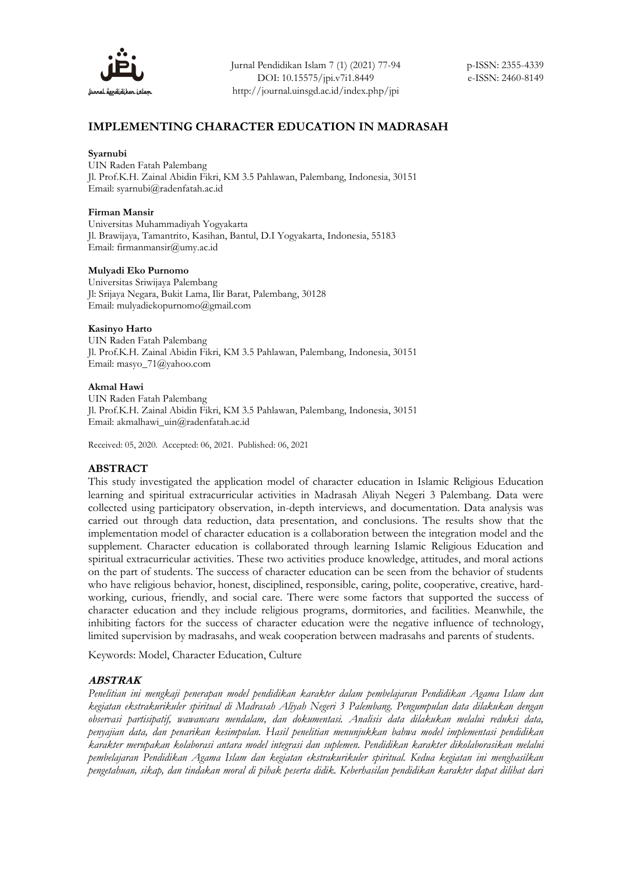

# **IMPLEMENTING CHARACTER EDUCATION IN MADRASAH**

#### **Syarnubi**

UIN Raden Fatah Palembang Jl. Prof.K.H. Zainal Abidin Fikri, KM 3.5 Pahlawan, Palembang, Indonesia, 30151 Email: syarnubi@radenfatah.ac.id

#### **Firman Mansir**

Universitas Muhammadiyah Yogyakarta Jl. Brawijaya, Tamantrito, Kasihan, Bantul, D.I Yogyakarta, Indonesia, 55183 Email[: firmanmansir@umy.ac.id](mailto:firmanmansir@umy.ac.id)

#### **Mulyadi Eko Purnomo**

Universitas Sriwijaya Palembang Jl: Srijaya Negara, Bukit Lama, Ilir Barat, Palembang, 30128 Email[: mulyadiekopurnomo@gmail.com](mailto:mulyadiekopurnomo@gmail.com)

#### **Kasinyo Harto**

UIN Raden Fatah Palembang Jl. Prof.K.H. Zainal Abidin Fikri, KM 3.5 Pahlawan, Palembang, Indonesia, 30151 Email[: masyo\\_71@yahoo.com](mailto:masyo_71@yahoo.com)

#### **Akmal Hawi**

UIN Raden Fatah Palembang Jl. Prof.K.H. Zainal Abidin Fikri, KM 3.5 Pahlawan, Palembang, Indonesia, 30151 Email[: akmalhawi\\_uin@radenfatah.ac.id](mailto:syarnubi@radenfatah.ac.id)

Received: 05, 2020. Accepted: 06, 2021. Published: 06, 2021

### **ABSTRACT**

This study investigated the application model of character education in Islamic Religious Education learning and spiritual extracurricular activities in Madrasah Aliyah Negeri 3 Palembang. Data were collected using participatory observation, in-depth interviews, and documentation. Data analysis was carried out through data reduction, data presentation, and conclusions. The results show that the implementation model of character education is a collaboration between the integration model and the supplement. Character education is collaborated through learning Islamic Religious Education and spiritual extracurricular activities. These two activities produce knowledge, attitudes, and moral actions on the part of students. The success of character education can be seen from the behavior of students who have religious behavior, honest, disciplined, responsible, caring, polite, cooperative, creative, hardworking, curious, friendly, and social care. There were some factors that supported the success of character education and they include religious programs, dormitories, and facilities. Meanwhile, the inhibiting factors for the success of character education were the negative influence of technology, limited supervision by madrasahs, and weak cooperation between madrasahs and parents of students.

Keywords: Model, Character Education, Culture

## **ABSTRAK**

*Penelitian ini mengkaji penerapan model pendidikan karakter dalam pembelajaran Pendidikan Agama Islam dan kegiatan ekstrakurikuler spiritual di Madrasah Aliyah Negeri 3 Palembang. Pengumpulan data dilakukan dengan observasi partisipatif, wawancara mendalam, dan dokumentasi. Analisis data dilakukan melalui reduksi data, penyajian data, dan penarikan kesimpulan. Hasil penelitian menunjukkan bahwa model implementasi pendidikan karakter merupakan kolaborasi antara model integrasi dan suplemen. Pendidikan karakter dikolaborasikan melalui pembelajaran Pendidikan Agama Islam dan kegiatan ekstrakurikuler spiritual. Kedua kegiatan ini menghasilkan pengetahuan, sikap, dan tindakan moral di pihak peserta didik. Keberhasilan pendidikan karakter dapat dilihat dari*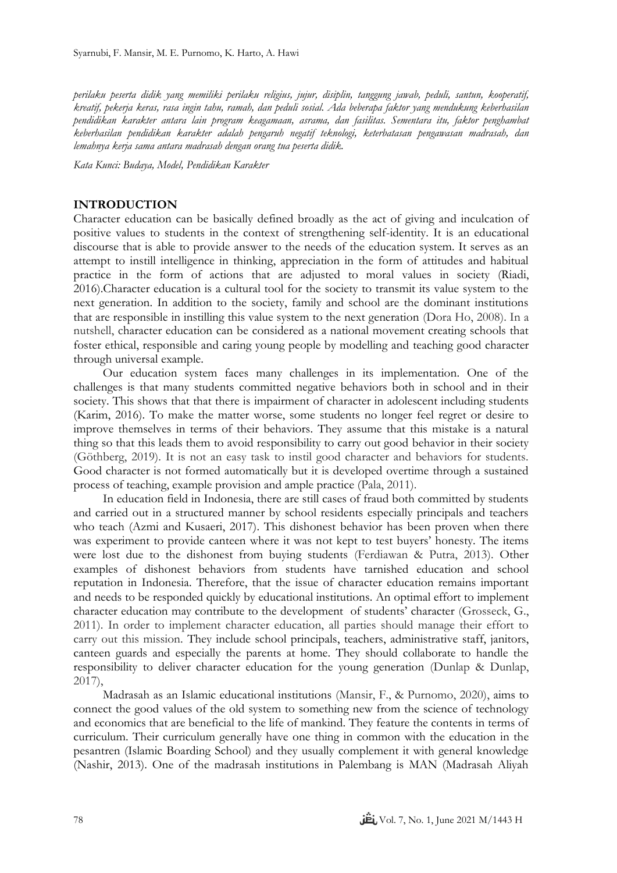*perilaku peserta didik yang memiliki perilaku religius, jujur, disiplin, tanggung jawab, peduli, santun, kooperatif, kreatif, pekerja keras, rasa ingin tahu, ramah, dan peduli sosial. Ada beberapa faktor yang mendukung keberhasilan pendidikan karakter antara lain program keagamaan, asrama, dan fasilitas. Sementara itu, faktor penghambat keberhasilan pendidikan karakter adalah pengaruh negatif teknologi, keterbatasan pengawasan madrasah, dan lemahnya kerja sama antara madrasah dengan orang tua peserta didik.*

*Kata Kunci: Budaya, Model, Pendidikan Karakter*

### **INTRODUCTION**

Character education can be basically defined broadly as the act of giving and inculcation of positive values to students in the context of strengthening self-identity. It is an educational discourse that is able to provide answer to the needs of the education system. It serves as an attempt to instill intelligence in thinking, appreciation in the form of attitudes and habitual practice in the form of actions that are adjusted to moral values in society (Riadi, 2016).Character education is a cultural tool for the society to transmit its value system to the next generation. In addition to the society, family and school are the dominant institutions that are responsible in instilling this value system to the next generation (Dora Ho, 2008). In a nutshell, character education can be considered as a national movement creating schools that foster ethical, responsible and caring young people by modelling and teaching good character through universal example.

Our education system faces many challenges in its implementation. One of the challenges is that many students committed negative behaviors both in school and in their society. This shows that that there is impairment of character in adolescent including students (Karim, 2016). To make the matter worse, some students no longer feel regret or desire to improve themselves in terms of their behaviors. They assume that this mistake is a natural thing so that this leads them to avoid responsibility to carry out good behavior in their society (Göthberg, 2019). It is not an easy task to instil good character and behaviors for students. Good character is not formed automatically but it is developed overtime through a sustained process of teaching, example provision and ample practice (Pala, 2011).

In education field in Indonesia, there are still cases of fraud both committed by students and carried out in a structured manner by school residents especially principals and teachers who teach (Azmi and Kusaeri, 2017). This dishonest behavior has been proven when there was experiment to provide canteen where it was not kept to test buyers' honesty. The items were lost due to the dishonest from buying students (Ferdiawan & Putra, 2013). Other examples of dishonest behaviors from students have tarnished education and school reputation in Indonesia. Therefore, that the issue of character education remains important and needs to be responded quickly by educational institutions. An optimal effort to implement character education may contribute to the development of students' character (Grosseck, G., 2011). In order to implement character education, all parties should manage their effort to carry out this mission. They include school principals, teachers, administrative staff, janitors, canteen guards and especially the parents at home. They should collaborate to handle the responsibility to deliver character education for the young generation (Dunlap & Dunlap, 2017),

Madrasah as an Islamic educational institutions (Mansir, F., & Purnomo, 2020), aims to connect the good values of the old system to something new from the science of technology and economics that are beneficial to the life of mankind. They feature the contents in terms of curriculum. Their curriculum generally have one thing in common with the education in the pesantren (Islamic Boarding School) and they usually complement it with general knowledge (Nashir, 2013). One of the madrasah institutions in Palembang is MAN (Madrasah Aliyah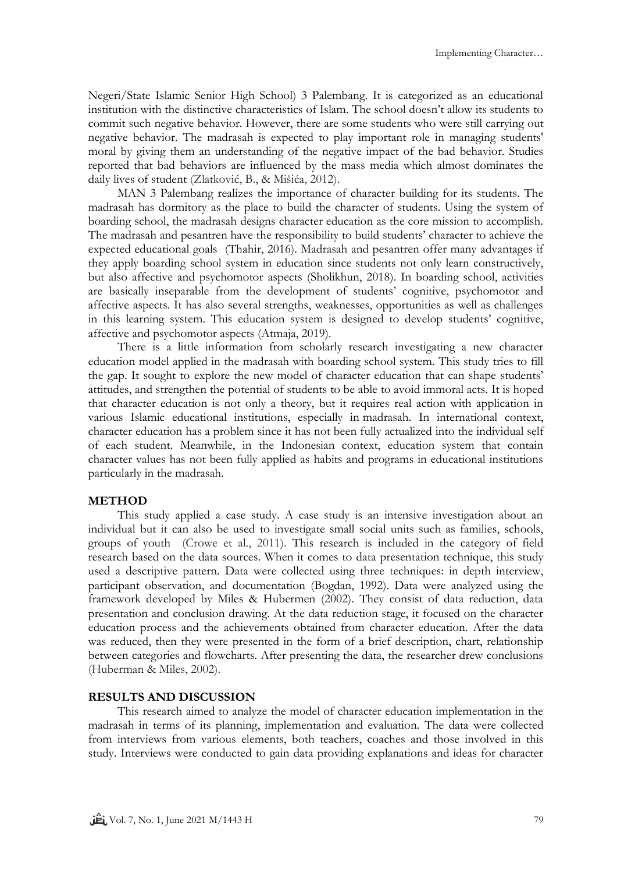Negeri/State Islamic Senior High School) 3 Palembang. It is categorized as an educational institution with the distinctive characteristics of Islam. The school doesn't allow its students to commit such negative behavior. However, there are some students who were still carrying out negative behavior. The madrasah is expected to play important role in managing students' moral by giving them an understanding of the negative impact of the bad behavior. Studies reported that bad behaviors are influenced by the mass media which almost dominates the daily lives of student (Zlatković, B., & Mišića, 2012).

MAN 3 Palembang realizes the importance of character building for its students. The madrasah has dormitory as the place to build the character of students. Using the system of boarding school, the madrasah designs character education as the core mission to accomplish. The madrasah and pesantren have the responsibility to build students' character to achieve the expected educational goals (Thahir, 2016). Madrasah and pesantren offer many advantages if they apply boarding school system in education since students not only learn constructively, but also affective and psychomotor aspects (Sholikhun, 2018). In boarding school, activities are basically inseparable from the development of students' cognitive, psychomotor and affective aspects. It has also several strengths, weaknesses, opportunities as well as challenges in this learning system. This education system is designed to develop students' cognitive, affective and psychomotor aspects (Atmaja, 2019).

There is a little information from scholarly research investigating a new character education model applied in the madrasah with boarding school system. This study tries to fill the gap. It sought to explore the new model of character education that can shape students' attitudes, and strengthen the potential of students to be able to avoid immoral acts. It is hoped that character education is not only a theory, but it requires real action with application in various Islamic educational institutions, especially in madrasah. In international context, character education has a problem since it has not been fully actualized into the individual self of each student. Meanwhile, in the Indonesian context, education system that contain character values has not been fully applied as habits and programs in educational institutions particularly in the madrasah.

## **METHOD**

This study applied a case study. A case study is an intensive investigation about an individual but it can also be used to investigate small social units such as families, schools, groups of youth (Crowe et al., 2011). This research is included in the category of field research based on the data sources. When it comes to data presentation technique, this study used a descriptive pattern. Data were collected using three techniques: in depth interview, participant observation, and documentation (Bogdan, 1992). Data were analyzed using the framework developed by Miles & Hubermen (2002). They consist of data reduction, data presentation and conclusion drawing. At the data reduction stage, it focused on the character education process and the achievements obtained from character education. After the data was reduced, then they were presented in the form of a brief description, chart, relationship between categories and flowcharts. After presenting the data, the researcher drew conclusions (Huberman & Miles, 2002).

## **RESULTS AND DISCUSSION**

This research aimed to analyze the model of character education implementation in the madrasah in terms of its planning, implementation and evaluation. The data were collected from interviews from various elements, both teachers, coaches and those involved in this study. Interviews were conducted to gain data providing explanations and ideas for character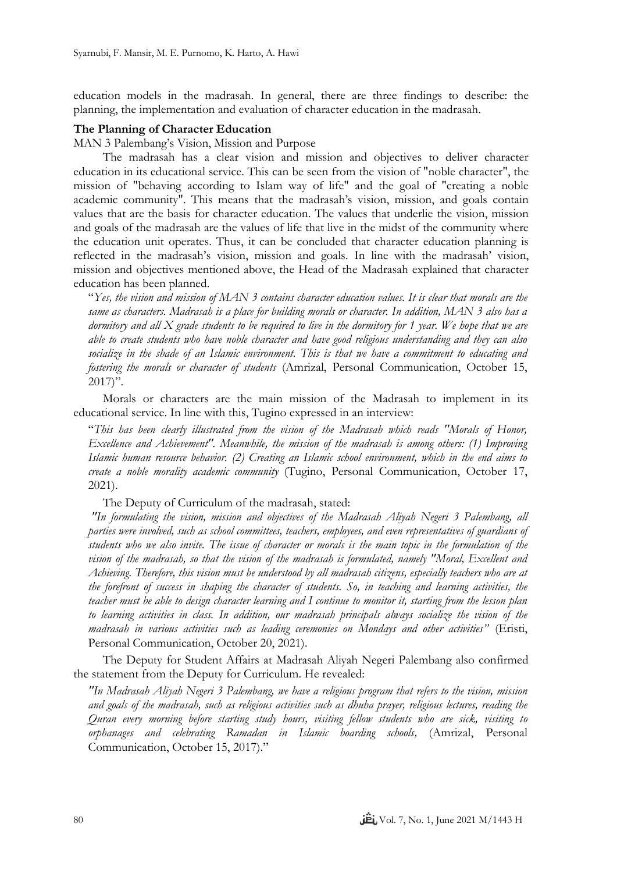education models in the madrasah. In general, there are three findings to describe: the planning, the implementation and evaluation of character education in the madrasah.

### **The Planning of Character Education**

MAN 3 Palembang's Vision, Mission and Purpose

The madrasah has a clear vision and mission and objectives to deliver character education in its educational service. This can be seen from the vision of "noble character", the mission of "behaving according to Islam way of life" and the goal of "creating a noble academic community". This means that the madrasah's vision, mission, and goals contain values that are the basis for character education. The values that underlie the vision, mission and goals of the madrasah are the values of life that live in the midst of the community where the education unit operates. Thus, it can be concluded that character education planning is reflected in the madrasah's vision, mission and goals. In line with the madrasah' vision, mission and objectives mentioned above, the Head of the Madrasah explained that character education has been planned.

"*Yes, the vision and mission of MAN 3 contains character education values. It is clear that morals are the same as characters. Madrasah is a place for building morals or character. In addition, MAN 3 also has a dormitory and all X grade students to be required to live in the dormitory for 1 year. We hope that we are able to create students who have noble character and have good religious understanding and they can also socialize in the shade of an Islamic environment. This is that we have a commitment to educating and fostering the morals or character of students* (Amrizal, Personal Communication, October 15,  $2017$ ".

Morals or characters are the main mission of the Madrasah to implement in its educational service. In line with this, Tugino expressed in an interview:

"*This has been clearly illustrated from the vision of the Madrasah which reads "Morals of Honor, Excellence and Achievement". Meanwhile, the mission of the madrasah is among others: (1) Improving Islamic human resource behavior. (2) Creating an Islamic school environment, which in the end aims to create a noble morality academic community* (Tugino, Personal Communication, October 17, 2021).

The Deputy of Curriculum of the madrasah, stated:

*"In formulating the vision, mission and objectives of the Madrasah Aliyah Negeri 3 Palembang, all parties were involved, such as school committees, teachers, employees, and even representatives of guardians of students who we also invite. The issue of character or morals is the main topic in the formulation of the vision of the madrasah, so that the vision of the madrasah is formulated, namely "Moral, Excellent and Achieving. Therefore, this vision must be understood by all madrasah citizens, especially teachers who are at the forefront of success in shaping the character of students. So, in teaching and learning activities, the teacher must be able to design character learning and I continue to monitor it, starting from the lesson plan to learning activities in class. In addition, our madrasah principals always socialize the vision of the madrasah in various activities such as leading ceremonies on Mondays and other activities"* (Eristi, Personal Communication, October 20, 2021).

The Deputy for Student Affairs at Madrasah Aliyah Negeri Palembang also confirmed the statement from the Deputy for Curriculum. He revealed:

*"In Madrasah Aliyah Negeri 3 Palembang, we have a religious program that refers to the vision, mission and goals of the madrasah, such as religious activities such as dhuha prayer, religious lectures, reading the Quran every morning before starting study hours, visiting fellow students who are sick, visiting to orphanages and celebrating Ramadan in Islamic boarding schools,* (Amrizal, Personal Communication, October 15, 2017)."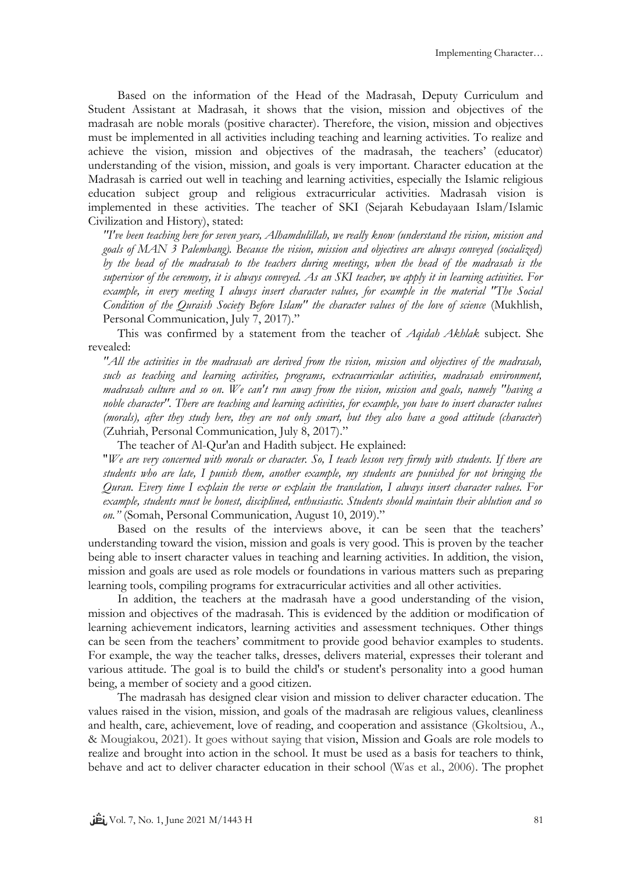Based on the information of the Head of the Madrasah, Deputy Curriculum and Student Assistant at Madrasah, it shows that the vision, mission and objectives of the madrasah are noble morals (positive character). Therefore, the vision, mission and objectives must be implemented in all activities including teaching and learning activities. To realize and achieve the vision, mission and objectives of the madrasah, the teachers' (educator) understanding of the vision, mission, and goals is very important. Character education at the Madrasah is carried out well in teaching and learning activities, especially the Islamic religious education subject group and religious extracurricular activities. Madrasah vision is implemented in these activities. The teacher of SKI (Sejarah Kebudayaan Islam/Islamic Civilization and History), stated:

*"I've been teaching here for seven years, Alhamdulillah, we really know (understand the vision, mission and goals of MAN 3 Palembang). Because the vision, mission and objectives are always conveyed (socialized) by the head of the madrasah to the teachers during meetings, when the head of the madrasah is the supervisor of the ceremony, it is always conveyed. As an SKI teacher, we apply it in learning activities. For example, in every meeting I always insert character values, for example in the material "The Social Condition of the Quraish Society Before Islam" the character values of the love of science* (Mukhlish, Personal Communication, July 7, 2017)."

This was confirmed by a statement from the teacher of *Aqidah Akhlak* subject. She revealed:

*"All the activities in the madrasah are derived from the vision, mission and objectives of the madrasah, such as teaching and learning activities, programs, extracurricular activities, madrasah environment, madrasah culture and so on. We can't run away from the vision, mission and goals, namely "having a noble character". There are teaching and learning activities, for example, you have to insert character values (morals), after they study here, they are not only smart, but they also have a good attitude (character*) (Zuhriah, Personal Communication, July 8, 2017)."

The teacher of Al-Qur'an and Hadith subject. He explained:

"*We are very concerned with morals or character. So, I teach lesson very firmly with students. If there are students who are late, I punish them, another example, my students are punished for not bringing the Quran. Every time I explain the verse or explain the translation, I always insert character values. For example, students must be honest, disciplined, enthusiastic. Students should maintain their ablution and so on."* (Somah, Personal Communication, August 10, 2019)."

Based on the results of the interviews above, it can be seen that the teachers' understanding toward the vision, mission and goals is very good. This is proven by the teacher being able to insert character values in teaching and learning activities. In addition, the vision, mission and goals are used as role models or foundations in various matters such as preparing learning tools, compiling programs for extracurricular activities and all other activities.

In addition, the teachers at the madrasah have a good understanding of the vision, mission and objectives of the madrasah. This is evidenced by the addition or modification of learning achievement indicators, learning activities and assessment techniques. Other things can be seen from the teachers' commitment to provide good behavior examples to students. For example, the way the teacher talks, dresses, delivers material, expresses their tolerant and various attitude. The goal is to build the child's or student's personality into a good human being, a member of society and a good citizen.

The madrasah has designed clear vision and mission to deliver character education. The values raised in the vision, mission, and goals of the madrasah are religious values, cleanliness and health, care, achievement, love of reading, and cooperation and assistance (Gkoltsiou, A., & Mougiakou, 2021). It goes without saying that vision, Mission and Goals are role models to realize and brought into action in the school. It must be used as a basis for teachers to think, behave and act to deliver character education in their school (Was et al., 2006). The prophet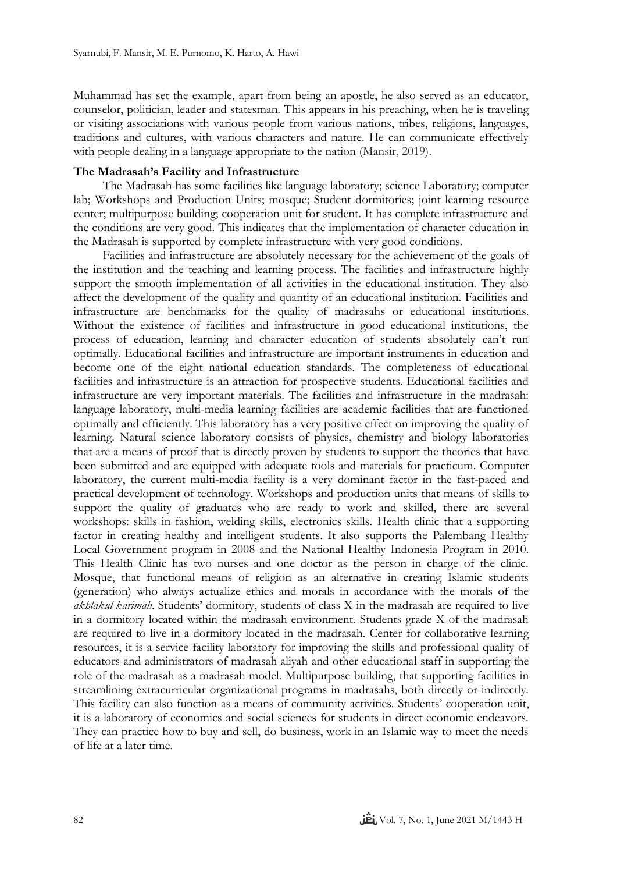Muhammad has set the example, apart from being an apostle, he also served as an educator, counselor, politician, leader and statesman. This appears in his preaching, when he is traveling or visiting associations with various people from various nations, tribes, religions, languages, traditions and cultures, with various characters and nature. He can communicate effectively with people dealing in a language appropriate to the nation (Mansir, 2019).

### **The Madrasah's Facility and Infrastructure**

The Madrasah has some facilities like language laboratory; science Laboratory; computer lab; Workshops and Production Units; mosque; Student dormitories; joint learning resource center; multipurpose building; cooperation unit for student. It has complete infrastructure and the conditions are very good. This indicates that the implementation of character education in the Madrasah is supported by complete infrastructure with very good conditions.

Facilities and infrastructure are absolutely necessary for the achievement of the goals of the institution and the teaching and learning process. The facilities and infrastructure highly support the smooth implementation of all activities in the educational institution. They also affect the development of the quality and quantity of an educational institution. Facilities and infrastructure are benchmarks for the quality of madrasahs or educational institutions. Without the existence of facilities and infrastructure in good educational institutions, the process of education, learning and character education of students absolutely can't run optimally. Educational facilities and infrastructure are important instruments in education and become one of the eight national education standards. The completeness of educational facilities and infrastructure is an attraction for prospective students. Educational facilities and infrastructure are very important materials. The facilities and infrastructure in the madrasah: language laboratory, multi-media learning facilities are academic facilities that are functioned optimally and efficiently. This laboratory has a very positive effect on improving the quality of learning. Natural science laboratory consists of physics, chemistry and biology laboratories that are a means of proof that is directly proven by students to support the theories that have been submitted and are equipped with adequate tools and materials for practicum. Computer laboratory, the current multi-media facility is a very dominant factor in the fast-paced and practical development of technology. Workshops and production units that means of skills to support the quality of graduates who are ready to work and skilled, there are several workshops: skills in fashion, welding skills, electronics skills. Health clinic that a supporting factor in creating healthy and intelligent students. It also supports the Palembang Healthy Local Government program in 2008 and the National Healthy Indonesia Program in 2010. This Health Clinic has two nurses and one doctor as the person in charge of the clinic. Mosque, that functional means of religion as an alternative in creating Islamic students (generation) who always actualize ethics and morals in accordance with the morals of the *akhlakul karimah*. Students' dormitory, students of class X in the madrasah are required to live in a dormitory located within the madrasah environment. Students grade X of the madrasah are required to live in a dormitory located in the madrasah. Center for collaborative learning resources, it is a service facility laboratory for improving the skills and professional quality of educators and administrators of madrasah aliyah and other educational staff in supporting the role of the madrasah as a madrasah model. Multipurpose building, that supporting facilities in streamlining extracurricular organizational programs in madrasahs, both directly or indirectly. This facility can also function as a means of community activities. Students' cooperation unit, it is a laboratory of economics and social sciences for students in direct economic endeavors. They can practice how to buy and sell, do business, work in an Islamic way to meet the needs of life at a later time.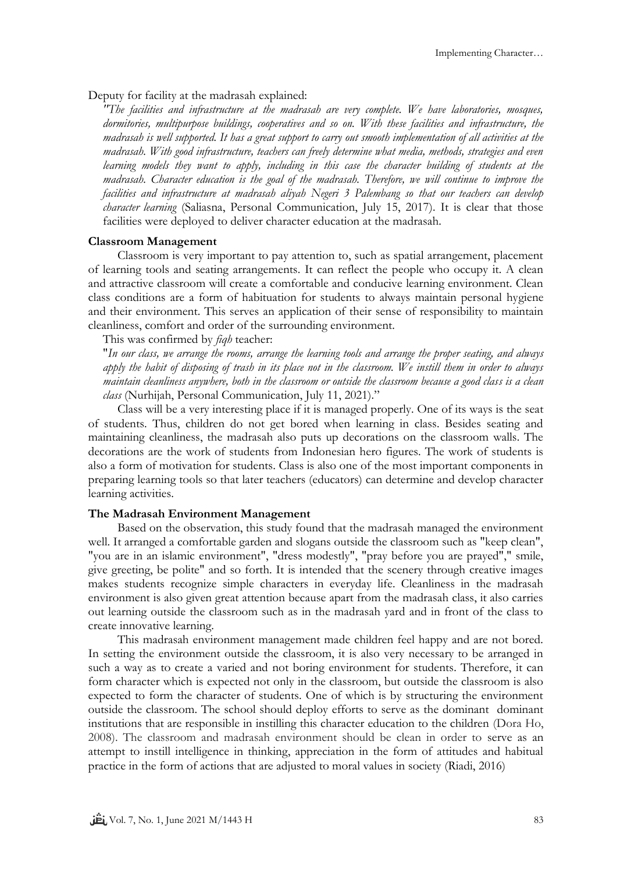Deputy for facility at the madrasah explained:

*"The facilities and infrastructure at the madrasah are very complete. We have laboratories, mosques, dormitories, multipurpose buildings, cooperatives and so on. With these facilities and infrastructure, the madrasah is well supported. It has a great support to carry out smooth implementation of all activities at the madrasah. With good infrastructure, teachers can freely determine what media, methods, strategies and even learning models they want to apply, including in this case the character building of students at the madrasah. Character education is the goal of the madrasah. Therefore, we will continue to improve the facilities and infrastructure at madrasah aliyah Negeri 3 Palembang so that our teachers can develop character learning* (Saliasna, Personal Communication, July 15, 2017). It is clear that those facilities were deployed to deliver character education at the madrasah.

### **Classroom Management**

Classroom is very important to pay attention to, such as spatial arrangement, placement of learning tools and seating arrangements. It can reflect the people who occupy it. A clean and attractive classroom will create a comfortable and conducive learning environment. Clean class conditions are a form of habituation for students to always maintain personal hygiene and their environment. This serves an application of their sense of responsibility to maintain cleanliness, comfort and order of the surrounding environment.

This was confirmed by *fiqh* teacher:

"*In our class, we arrange the rooms, arrange the learning tools and arrange the proper seating, and always apply the habit of disposing of trash in its place not in the classroom. We instill them in order to always maintain cleanliness anywhere, both in the classroom or outside the classroom because a good class is a clean class* (Nurhijah, Personal Communication, July 11, 2021)."

Class will be a very interesting place if it is managed properly. One of its ways is the seat of students. Thus, children do not get bored when learning in class. Besides seating and maintaining cleanliness, the madrasah also puts up decorations on the classroom walls. The decorations are the work of students from Indonesian hero figures. The work of students is also a form of motivation for students. Class is also one of the most important components in preparing learning tools so that later teachers (educators) can determine and develop character learning activities.

#### **The Madrasah Environment Management**

Based on the observation, this study found that the madrasah managed the environment well. It arranged a comfortable garden and slogans outside the classroom such as "keep clean", "you are in an islamic environment", "dress modestly", "pray before you are prayed"," smile, give greeting, be polite" and so forth. It is intended that the scenery through creative images makes students recognize simple characters in everyday life. Cleanliness in the madrasah environment is also given great attention because apart from the madrasah class, it also carries out learning outside the classroom such as in the madrasah yard and in front of the class to create innovative learning.

This madrasah environment management made children feel happy and are not bored. In setting the environment outside the classroom, it is also very necessary to be arranged in such a way as to create a varied and not boring environment for students. Therefore, it can form character which is expected not only in the classroom, but outside the classroom is also expected to form the character of students. One of which is by structuring the environment outside the classroom. The school should deploy efforts to serve as the dominant dominant institutions that are responsible in instilling this character education to the children (Dora Ho, 2008). The classroom and madrasah environment should be clean in order to serve as an attempt to instill intelligence in thinking, appreciation in the form of attitudes and habitual practice in the form of actions that are adjusted to moral values in society (Riadi, 2016)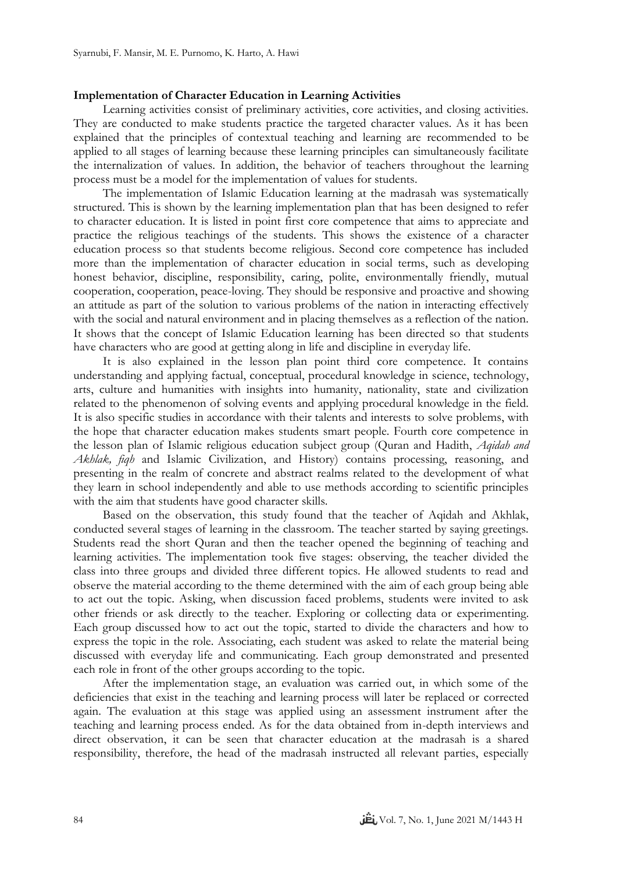### **Implementation of Character Education in Learning Activities**

Learning activities consist of preliminary activities, core activities, and closing activities. They are conducted to make students practice the targeted character values. As it has been explained that the principles of contextual teaching and learning are recommended to be applied to all stages of learning because these learning principles can simultaneously facilitate the internalization of values. In addition, the behavior of teachers throughout the learning process must be a model for the implementation of values for students.

The implementation of Islamic Education learning at the madrasah was systematically structured. This is shown by the learning implementation plan that has been designed to refer to character education. It is listed in point first core competence that aims to appreciate and practice the religious teachings of the students. This shows the existence of a character education process so that students become religious. Second core competence has included more than the implementation of character education in social terms, such as developing honest behavior, discipline, responsibility, caring, polite, environmentally friendly, mutual cooperation, cooperation, peace-loving. They should be responsive and proactive and showing an attitude as part of the solution to various problems of the nation in interacting effectively with the social and natural environment and in placing themselves as a reflection of the nation. It shows that the concept of Islamic Education learning has been directed so that students have characters who are good at getting along in life and discipline in everyday life.

It is also explained in the lesson plan point third core competence. It contains understanding and applying factual, conceptual, procedural knowledge in science, technology, arts, culture and humanities with insights into humanity, nationality, state and civilization related to the phenomenon of solving events and applying procedural knowledge in the field. It is also specific studies in accordance with their talents and interests to solve problems, with the hope that character education makes students smart people. Fourth core competence in the lesson plan of Islamic religious education subject group (Quran and Hadith, *Aqidah and Akhlak, fiqh* and Islamic Civilization, and History) contains processing, reasoning, and presenting in the realm of concrete and abstract realms related to the development of what they learn in school independently and able to use methods according to scientific principles with the aim that students have good character skills.

Based on the observation, this study found that the teacher of Aqidah and Akhlak, conducted several stages of learning in the classroom. The teacher started by saying greetings. Students read the short Quran and then the teacher opened the beginning of teaching and learning activities. The implementation took five stages: observing, the teacher divided the class into three groups and divided three different topics. He allowed students to read and observe the material according to the theme determined with the aim of each group being able to act out the topic. Asking, when discussion faced problems, students were invited to ask other friends or ask directly to the teacher. Exploring or collecting data or experimenting. Each group discussed how to act out the topic, started to divide the characters and how to express the topic in the role. Associating, each student was asked to relate the material being discussed with everyday life and communicating. Each group demonstrated and presented each role in front of the other groups according to the topic.

After the implementation stage, an evaluation was carried out, in which some of the deficiencies that exist in the teaching and learning process will later be replaced or corrected again. The evaluation at this stage was applied using an assessment instrument after the teaching and learning process ended. As for the data obtained from in-depth interviews and direct observation, it can be seen that character education at the madrasah is a shared responsibility, therefore, the head of the madrasah instructed all relevant parties, especially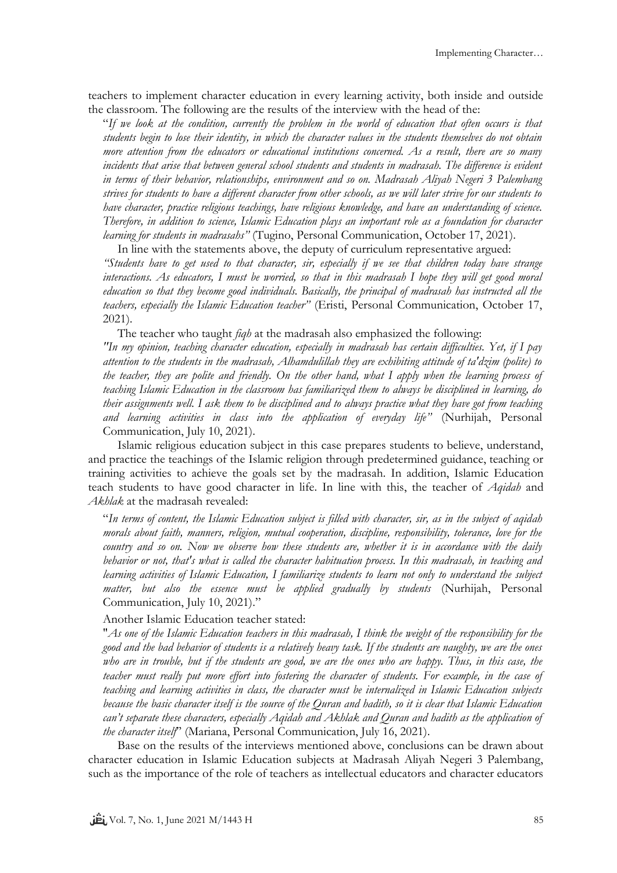teachers to implement character education in every learning activity, both inside and outside the classroom. The following are the results of the interview with the head of the:

"*If we look at the condition, currently the problem in the world of education that often occurs is that students begin to lose their identity, in which the character values in the students themselves do not obtain more attention from the educators or educational institutions concerned. As a result, there are so many incidents that arise that between general school students and students in madrasah. The difference is evident in terms of their behavior, relationships, environment and so on. Madrasah Aliyah Negeri 3 Palembang strives for students to have a different character from other schools, as we will later strive for our students to have character, practice religious teachings, have religious knowledge, and have an understanding of science. Therefore, in addition to science, Islamic Education plays an important role as a foundation for character learning for students in madrasahs"* (Tugino, Personal Communication, October 17, 2021).

In line with the statements above, the deputy of curriculum representative argued: *"Students have to get used to that character, sir, especially if we see that children today have strange interactions. As educators, I must be worried, so that in this madrasah I hope they will get good moral education so that they become good individuals. Basically, the principal of madrasah has instructed all the teachers, especially the Islamic Education teacher"* (Eristi, Personal Communication, October 17, 2021).

The teacher who taught *fiqh* at the madrasah also emphasized the following: *"In my opinion, teaching character education, especially in madrasah has certain difficulties. Yet, if I pay attention to the students in the madrasah, Alhamdulillah they are exhibiting attitude of ta'dzim (polite) to the teacher, they are polite and friendly. On the other hand, what I apply when the learning process of teaching Islamic Education in the classroom has familiarized them to always be disciplined in learning, do their assignments well. I ask them to be disciplined and to always practice what they have got from teaching and learning activities in class into the application of everyday life"* (Nurhijah, Personal Communication, July 10, 2021).

Islamic religious education subject in this case prepares students to believe, understand, and practice the teachings of the Islamic religion through predetermined guidance, teaching or training activities to achieve the goals set by the madrasah. In addition, Islamic Education teach students to have good character in life. In line with this, the teacher of *Aqidah* and *Akhlak* at the madrasah revealed:

"*In terms of content, the Islamic Education subject is filled with character, sir, as in the subject of aqidah morals about faith, manners, religion, mutual cooperation, discipline, responsibility, tolerance, love for the country and so on. Now we observe how these students are, whether it is in accordance with the daily behavior or not, that's what is called the character habituation process. In this madrasah, in teaching and learning activities of Islamic Education, I familiarize students to learn not only to understand the subject matter, but also the essence must be applied gradually by students* (Nurhijah, Personal Communication, July 10, 2021)."

Another Islamic Education teacher stated:

"*As one of the Islamic Education teachers in this madrasah, I think the weight of the responsibility for the good and the bad behavior of students is a relatively heavy task. If the students are naughty, we are the ones who are in trouble, but if the students are good, we are the ones who are happy. Thus, in this case, the teacher must really put more effort into fostering the character of students. For example, in the case of teaching and learning activities in class, the character must be internalized in Islamic Education subjects because the basic character itself is the source of the Quran and hadith, so it is clear that Islamic Education can't separate these characters, especially Aqidah and Akhlak and Quran and hadith as the application of the character itself*" (Mariana, Personal Communication, July 16, 2021).

Base on the results of the interviews mentioned above, conclusions can be drawn about character education in Islamic Education subjects at Madrasah Aliyah Negeri 3 Palembang, such as the importance of the role of teachers as intellectual educators and character educators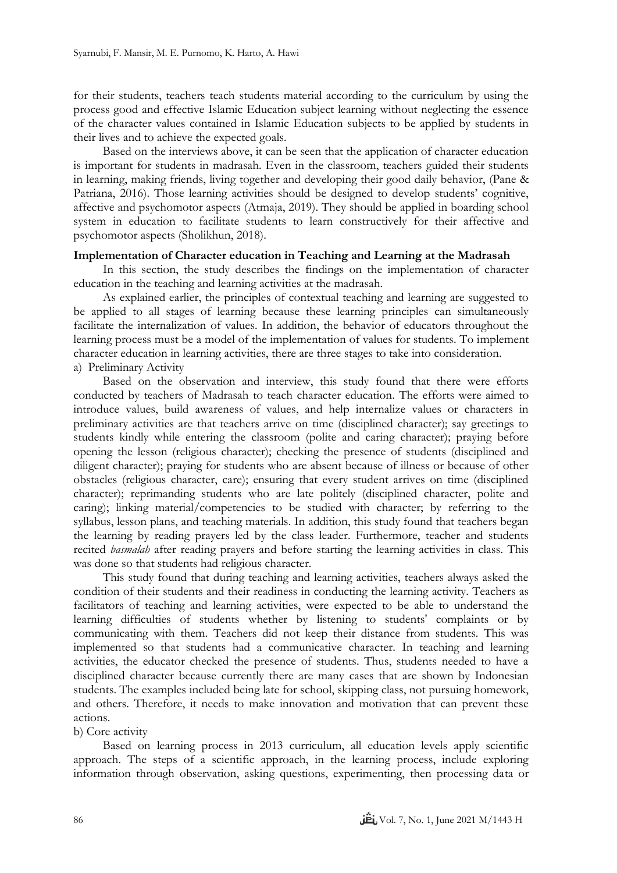for their students, teachers teach students material according to the curriculum by using the process good and effective Islamic Education subject learning without neglecting the essence of the character values contained in Islamic Education subjects to be applied by students in their lives and to achieve the expected goals.

Based on the interviews above, it can be seen that the application of character education is important for students in madrasah. Even in the classroom, teachers guided their students in learning, making friends, living together and developing their good daily behavior, (Pane & Patriana, 2016). Those learning activities should be designed to develop students' cognitive, affective and psychomotor aspects (Atmaja, 2019). They should be applied in boarding school system in education to facilitate students to learn constructively for their affective and psychomotor aspects (Sholikhun, 2018).

### **Implementation of Character education in Teaching and Learning at the Madrasah**

In this section, the study describes the findings on the implementation of character education in the teaching and learning activities at the madrasah.

As explained earlier, the principles of contextual teaching and learning are suggested to be applied to all stages of learning because these learning principles can simultaneously facilitate the internalization of values. In addition, the behavior of educators throughout the learning process must be a model of the implementation of values for students. To implement character education in learning activities, there are three stages to take into consideration. a) Preliminary Activity

Based on the observation and interview, this study found that there were efforts conducted by teachers of Madrasah to teach character education. The efforts were aimed to introduce values, build awareness of values, and help internalize values or characters in preliminary activities are that teachers arrive on time (disciplined character); say greetings to students kindly while entering the classroom (polite and caring character); praying before opening the lesson (religious character); checking the presence of students (disciplined and diligent character); praying for students who are absent because of illness or because of other obstacles (religious character, care); ensuring that every student arrives on time (disciplined character); reprimanding students who are late politely (disciplined character, polite and caring); linking material/competencies to be studied with character; by referring to the syllabus, lesson plans, and teaching materials. In addition, this study found that teachers began the learning by reading prayers led by the class leader. Furthermore, teacher and students recited *basmalah* after reading prayers and before starting the learning activities in class. This was done so that students had religious character.

This study found that during teaching and learning activities, teachers always asked the condition of their students and their readiness in conducting the learning activity. Teachers as facilitators of teaching and learning activities, were expected to be able to understand the learning difficulties of students whether by listening to students' complaints or by communicating with them. Teachers did not keep their distance from students. This was implemented so that students had a communicative character. In teaching and learning activities, the educator checked the presence of students. Thus, students needed to have a disciplined character because currently there are many cases that are shown by Indonesian students. The examples included being late for school, skipping class, not pursuing homework, and others. Therefore, it needs to make innovation and motivation that can prevent these actions.

### b) Core activity

Based on learning process in 2013 curriculum, all education levels apply scientific approach. The steps of a scientific approach, in the learning process, include exploring information through observation, asking questions, experimenting, then processing data or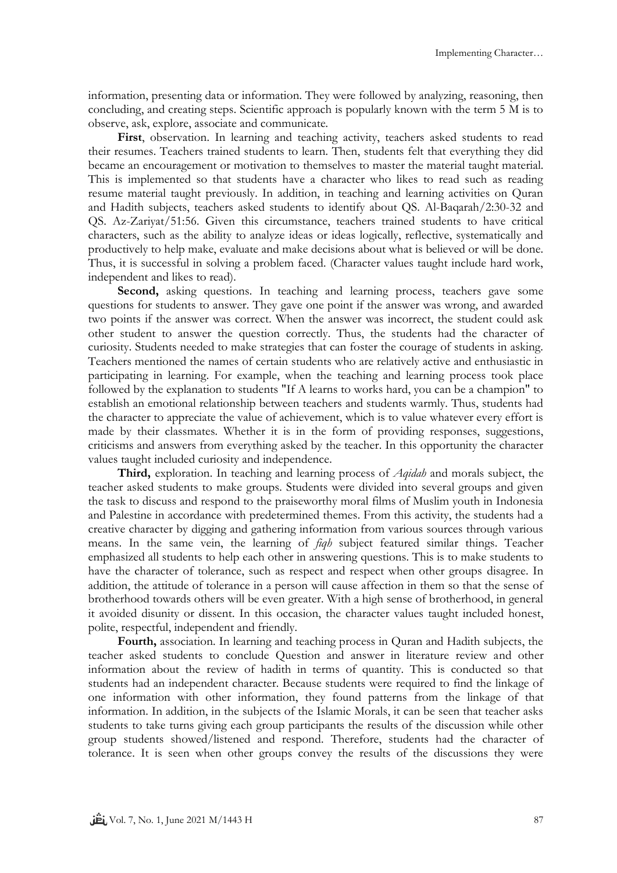information, presenting data or information. They were followed by analyzing, reasoning, then concluding, and creating steps. Scientific approach is popularly known with the term 5 M is to observe, ask, explore, associate and communicate.

**First**, observation. In learning and teaching activity, teachers asked students to read their resumes. Teachers trained students to learn. Then, students felt that everything they did became an encouragement or motivation to themselves to master the material taught material. This is implemented so that students have a character who likes to read such as reading resume material taught previously. In addition, in teaching and learning activities on Quran and Hadith subjects, teachers asked students to identify about QS. Al-Baqarah/2:30-32 and QS. Az-Zariyat/51:56. Given this circumstance, teachers trained students to have critical characters, such as the ability to analyze ideas or ideas logically, reflective, systematically and productively to help make, evaluate and make decisions about what is believed or will be done. Thus, it is successful in solving a problem faced. (Character values taught include hard work, independent and likes to read).

**Second,** asking questions. In teaching and learning process, teachers gave some questions for students to answer. They gave one point if the answer was wrong, and awarded two points if the answer was correct. When the answer was incorrect, the student could ask other student to answer the question correctly. Thus, the students had the character of curiosity. Students needed to make strategies that can foster the courage of students in asking. Teachers mentioned the names of certain students who are relatively active and enthusiastic in participating in learning. For example, when the teaching and learning process took place followed by the explanation to students "If A learns to works hard, you can be a champion" to establish an emotional relationship between teachers and students warmly. Thus, students had the character to appreciate the value of achievement, which is to value whatever every effort is made by their classmates. Whether it is in the form of providing responses, suggestions, criticisms and answers from everything asked by the teacher. In this opportunity the character values taught included curiosity and independence.

**Third,** exploration. In teaching and learning process of *Aqidah* and morals subject, the teacher asked students to make groups. Students were divided into several groups and given the task to discuss and respond to the praiseworthy moral films of Muslim youth in Indonesia and Palestine in accordance with predetermined themes. From this activity, the students had a creative character by digging and gathering information from various sources through various means. In the same vein, the learning of *fiqh* subject featured similar things. Teacher emphasized all students to help each other in answering questions. This is to make students to have the character of tolerance, such as respect and respect when other groups disagree. In addition, the attitude of tolerance in a person will cause affection in them so that the sense of brotherhood towards others will be even greater. With a high sense of brotherhood, in general it avoided disunity or dissent. In this occasion, the character values taught included honest, polite, respectful, independent and friendly.

**Fourth,** association. In learning and teaching process in Quran and Hadith subjects, the teacher asked students to conclude Question and answer in literature review and other information about the review of hadith in terms of quantity. This is conducted so that students had an independent character. Because students were required to find the linkage of one information with other information, they found patterns from the linkage of that information. In addition, in the subjects of the Islamic Morals, it can be seen that teacher asks students to take turns giving each group participants the results of the discussion while other group students showed/listened and respond. Therefore, students had the character of tolerance. It is seen when other groups convey the results of the discussions they were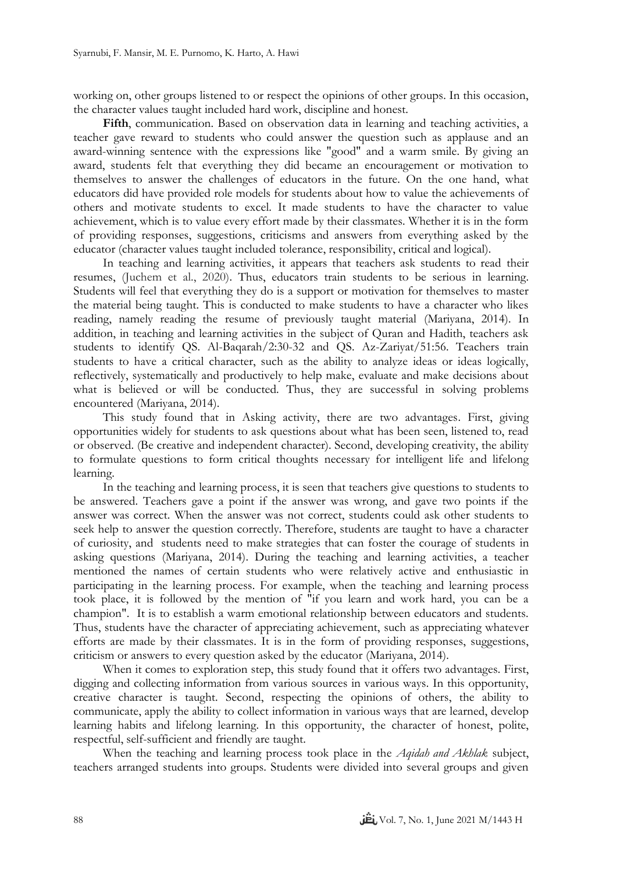working on, other groups listened to or respect the opinions of other groups. In this occasion, the character values taught included hard work, discipline and honest.

**Fifth**, communication. Based on observation data in learning and teaching activities, a teacher gave reward to students who could answer the question such as applause and an award-winning sentence with the expressions like "good" and a warm smile. By giving an award, students felt that everything they did became an encouragement or motivation to themselves to answer the challenges of educators in the future. On the one hand, what educators did have provided role models for students about how to value the achievements of others and motivate students to excel. It made students to have the character to value achievement, which is to value every effort made by their classmates. Whether it is in the form of providing responses, suggestions, criticisms and answers from everything asked by the educator (character values taught included tolerance, responsibility, critical and logical).

In teaching and learning activities, it appears that teachers ask students to read their resumes, (Juchem et al., 2020). Thus, educators train students to be serious in learning. Students will feel that everything they do is a support or motivation for themselves to master the material being taught. This is conducted to make students to have a character who likes reading, namely reading the resume of previously taught material (Mariyana, 2014). In addition, in teaching and learning activities in the subject of Quran and Hadith, teachers ask students to identify QS. Al-Baqarah/2:30-32 and QS. Az-Zariyat/51:56. Teachers train students to have a critical character, such as the ability to analyze ideas or ideas logically, reflectively, systematically and productively to help make, evaluate and make decisions about what is believed or will be conducted. Thus, they are successful in solving problems encountered (Mariyana, 2014).

This study found that in Asking activity, there are two advantages. First, giving opportunities widely for students to ask questions about what has been seen, listened to, read or observed. (Be creative and independent character). Second, developing creativity, the ability to formulate questions to form critical thoughts necessary for intelligent life and lifelong learning.

In the teaching and learning process, it is seen that teachers give questions to students to be answered. Teachers gave a point if the answer was wrong, and gave two points if the answer was correct. When the answer was not correct, students could ask other students to seek help to answer the question correctly. Therefore, students are taught to have a character of curiosity, and students need to make strategies that can foster the courage of students in asking questions (Mariyana, 2014). During the teaching and learning activities, a teacher mentioned the names of certain students who were relatively active and enthusiastic in participating in the learning process. For example, when the teaching and learning process took place, it is followed by the mention of "if you learn and work hard, you can be a champion". It is to establish a warm emotional relationship between educators and students. Thus, students have the character of appreciating achievement, such as appreciating whatever efforts are made by their classmates. It is in the form of providing responses, suggestions, criticism or answers to every question asked by the educator (Mariyana, 2014).

When it comes to exploration step, this study found that it offers two advantages. First, digging and collecting information from various sources in various ways. In this opportunity, creative character is taught. Second, respecting the opinions of others, the ability to communicate, apply the ability to collect information in various ways that are learned, develop learning habits and lifelong learning. In this opportunity, the character of honest, polite, respectful, self-sufficient and friendly are taught.

When the teaching and learning process took place in the *Aqidah and Akhlak* subject, teachers arranged students into groups. Students were divided into several groups and given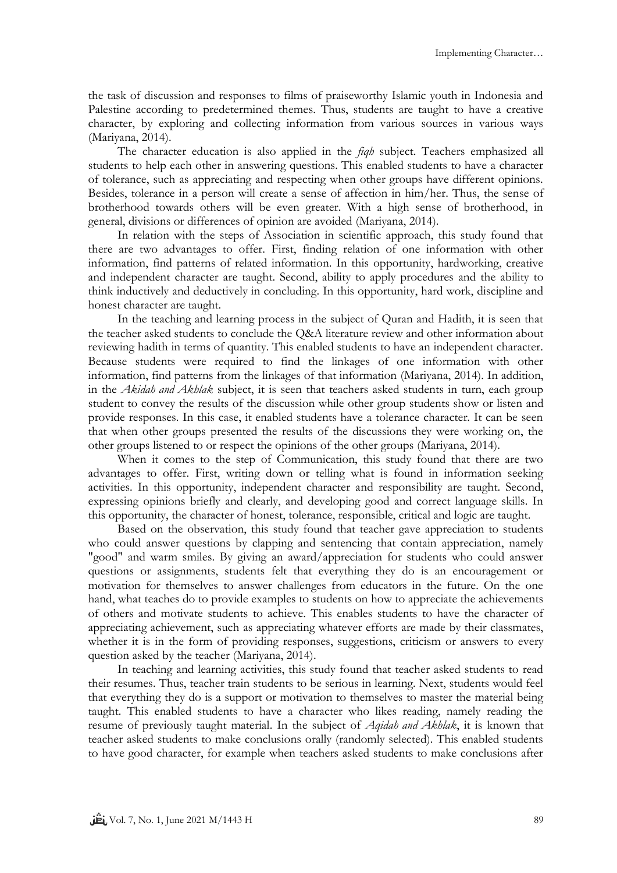the task of discussion and responses to films of praiseworthy Islamic youth in Indonesia and Palestine according to predetermined themes. Thus, students are taught to have a creative character, by exploring and collecting information from various sources in various ways (Mariyana, 2014).

The character education is also applied in the *fiqh* subject. Teachers emphasized all students to help each other in answering questions. This enabled students to have a character of tolerance, such as appreciating and respecting when other groups have different opinions. Besides, tolerance in a person will create a sense of affection in him/her. Thus, the sense of brotherhood towards others will be even greater. With a high sense of brotherhood, in general, divisions or differences of opinion are avoided (Mariyana, 2014).

In relation with the steps of Association in scientific approach, this study found that there are two advantages to offer. First, finding relation of one information with other information, find patterns of related information. In this opportunity, hardworking, creative and independent character are taught. Second, ability to apply procedures and the ability to think inductively and deductively in concluding. In this opportunity, hard work, discipline and honest character are taught.

In the teaching and learning process in the subject of Quran and Hadith, it is seen that the teacher asked students to conclude the Q&A literature review and other information about reviewing hadith in terms of quantity. This enabled students to have an independent character. Because students were required to find the linkages of one information with other information, find patterns from the linkages of that information (Mariyana, 2014). In addition, in the *Akidah and Akhlak* subject, it is seen that teachers asked students in turn, each group student to convey the results of the discussion while other group students show or listen and provide responses. In this case, it enabled students have a tolerance character. It can be seen that when other groups presented the results of the discussions they were working on, the other groups listened to or respect the opinions of the other groups (Mariyana, 2014).

When it comes to the step of Communication, this study found that there are two advantages to offer. First, writing down or telling what is found in information seeking activities. In this opportunity, independent character and responsibility are taught. Second, expressing opinions briefly and clearly, and developing good and correct language skills. In this opportunity, the character of honest, tolerance, responsible, critical and logic are taught.

Based on the observation, this study found that teacher gave appreciation to students who could answer questions by clapping and sentencing that contain appreciation, namely "good" and warm smiles. By giving an award/appreciation for students who could answer questions or assignments, students felt that everything they do is an encouragement or motivation for themselves to answer challenges from educators in the future. On the one hand, what teaches do to provide examples to students on how to appreciate the achievements of others and motivate students to achieve. This enables students to have the character of appreciating achievement, such as appreciating whatever efforts are made by their classmates, whether it is in the form of providing responses, suggestions, criticism or answers to every question asked by the teacher (Mariyana, 2014).

In teaching and learning activities, this study found that teacher asked students to read their resumes. Thus, teacher train students to be serious in learning. Next, students would feel that everything they do is a support or motivation to themselves to master the material being taught. This enabled students to have a character who likes reading, namely reading the resume of previously taught material. In the subject of *Aqidah and Akhlak*, it is known that teacher asked students to make conclusions orally (randomly selected). This enabled students to have good character, for example when teachers asked students to make conclusions after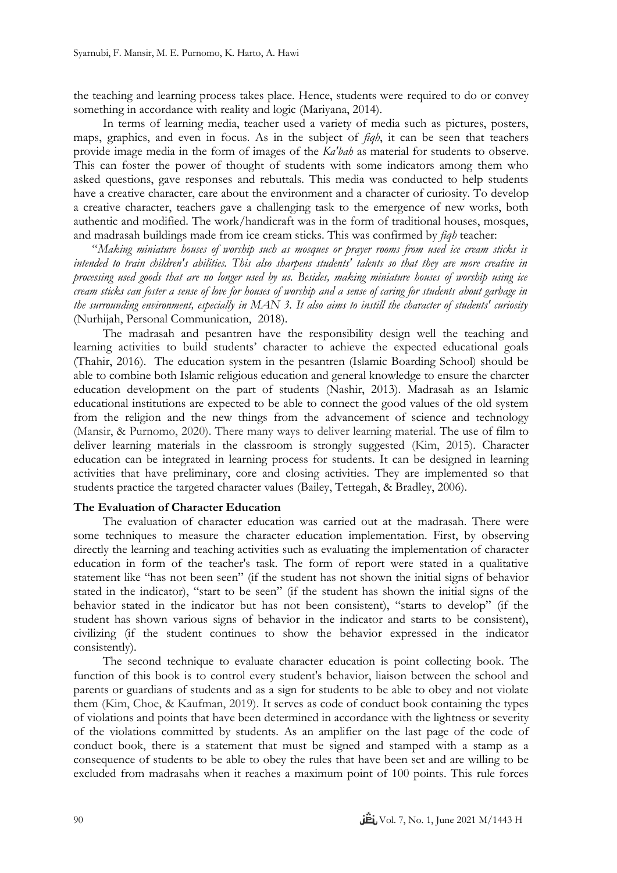the teaching and learning process takes place. Hence, students were required to do or convey something in accordance with reality and logic (Mariyana, 2014).

In terms of learning media, teacher used a variety of media such as pictures, posters, maps, graphics, and even in focus. As in the subject of *fiqh*, it can be seen that teachers provide image media in the form of images of the *Ka'bah* as material for students to observe. This can foster the power of thought of students with some indicators among them who asked questions, gave responses and rebuttals. This media was conducted to help students have a creative character, care about the environment and a character of curiosity. To develop a creative character, teachers gave a challenging task to the emergence of new works, both authentic and modified. The work/handicraft was in the form of traditional houses, mosques, and madrasah buildings made from ice cream sticks. This was confirmed by *fiqh* teacher:

"*Making miniature houses of worship such as mosques or prayer rooms from used ice cream sticks is intended to train children's abilities. This also sharpens students' talents so that they are more creative in processing used goods that are no longer used by us. Besides, making miniature houses of worship using ice cream sticks can foster a sense of love for houses of worship and a sense of caring for students about garbage in the surrounding environment, especially in MAN 3. It also aims to instill the character of students' curiosity* (Nurhijah, Personal Communication, 2018).

The madrasah and pesantren have the responsibility design well the teaching and learning activities to build students' character to achieve the expected educational goals (Thahir, 2016). The education system in the pesantren (Islamic Boarding School) should be able to combine both Islamic religious education and general knowledge to ensure the charcter education development on the part of students (Nashir, 2013). Madrasah as an Islamic educational institutions are expected to be able to connect the good values of the old system from the religion and the new things from the advancement of science and technology (Mansir, & Purnomo, 2020). There many ways to deliver learning material. The use of film to deliver learning materials in the classroom is strongly suggested (Kim, 2015). Character education can be integrated in learning process for students. It can be designed in learning activities that have preliminary, core and closing activities. They are implemented so that students practice the targeted character values (Bailey, Tettegah, & Bradley, 2006).

## **The Evaluation of Character Education**

The evaluation of character education was carried out at the madrasah. There were some techniques to measure the character education implementation. First, by observing directly the learning and teaching activities such as evaluating the implementation of character education in form of the teacher's task. The form of report were stated in a qualitative statement like "has not been seen" (if the student has not shown the initial signs of behavior stated in the indicator), "start to be seen" (if the student has shown the initial signs of the behavior stated in the indicator but has not been consistent), "starts to develop" (if the student has shown various signs of behavior in the indicator and starts to be consistent), civilizing (if the student continues to show the behavior expressed in the indicator consistently).

The second technique to evaluate character education is point collecting book. The function of this book is to control every student's behavior, liaison between the school and parents or guardians of students and as a sign for students to be able to obey and not violate them (Kim, Choe, & Kaufman, 2019). It serves as code of conduct book containing the types of violations and points that have been determined in accordance with the lightness or severity of the violations committed by students. As an amplifier on the last page of the code of conduct book, there is a statement that must be signed and stamped with a stamp as a consequence of students to be able to obey the rules that have been set and are willing to be excluded from madrasahs when it reaches a maximum point of 100 points. This rule forces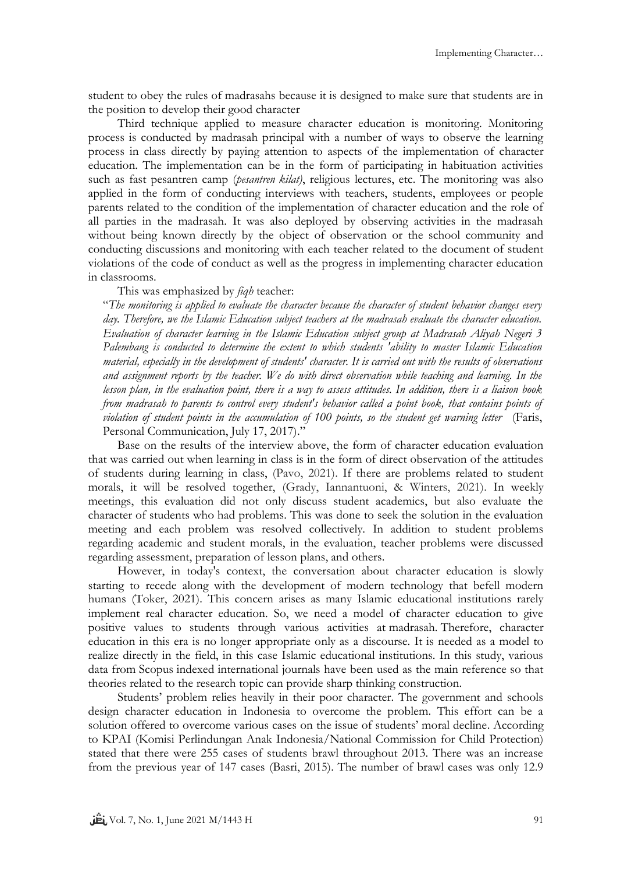student to obey the rules of madrasahs because it is designed to make sure that students are in the position to develop their good character

Third technique applied to measure character education is monitoring. Monitoring process is conducted by madrasah principal with a number of ways to observe the learning process in class directly by paying attention to aspects of the implementation of character education. The implementation can be in the form of participating in habituation activities such as fast pesantren camp (*pesantren kilat)*, religious lectures, etc. The monitoring was also applied in the form of conducting interviews with teachers, students, employees or people parents related to the condition of the implementation of character education and the role of all parties in the madrasah. It was also deployed by observing activities in the madrasah without being known directly by the object of observation or the school community and conducting discussions and monitoring with each teacher related to the document of student violations of the code of conduct as well as the progress in implementing character education in classrooms.

### This was emphasized by *fiqh* teacher:

"*The monitoring is applied to evaluate the character because the character of student behavior changes every day. Therefore, we the Islamic Education subject teachers at the madrasah evaluate the character education. Evaluation of character learning in the Islamic Education subject group at Madrasah Aliyah Negeri 3 Palembang is conducted to determine the extent to which students 'ability to master Islamic Education material, especially in the development of students' character. It is carried out with the results of observations and assignment reports by the teacher. We do with direct observation while teaching and learning. In the lesson plan, in the evaluation point, there is a way to assess attitudes. In addition, there is a liaison book from madrasah to parents to control every student's behavior called a point book, that contains points of violation of student points in the accumulation of 100 points, so the student get warning letter* (Faris, Personal Communication, July 17, 2017).'

Base on the results of the interview above, the form of character education evaluation that was carried out when learning in class is in the form of direct observation of the attitudes of students during learning in class, (Pavo, 2021). If there are problems related to student morals, it will be resolved together, (Grady, Iannantuoni, & Winters, 2021). In weekly meetings, this evaluation did not only discuss student academics, but also evaluate the character of students who had problems. This was done to seek the solution in the evaluation meeting and each problem was resolved collectively. In addition to student problems regarding academic and student morals, in the evaluation, teacher problems were discussed regarding assessment, preparation of lesson plans, and others.

However, in today's context, the conversation about character education is slowly starting to recede along with the development of modern technology that befell modern humans (Toker, 2021). This concern arises as many Islamic educational institutions rarely implement real character education. So, we need a model of character education to give positive values to students through various activities at madrasah. Therefore, character education in this era is no longer appropriate only as a discourse. It is needed as a model to realize directly in the field, in this case Islamic educational institutions. In this study, various data from Scopus indexed international journals have been used as the main reference so that theories related to the research topic can provide sharp thinking construction.

Students' problem relies heavily in their poor character. The government and schools design character education in Indonesia to overcome the problem. This effort can be a solution offered to overcome various cases on the issue of students' moral decline. According to KPAI (Komisi Perlindungan Anak Indonesia/National Commission for Child Protection) stated that there were 255 cases of students brawl throughout 2013. There was an increase from the previous year of 147 cases (Basri, 2015). The number of brawl cases was only 12.9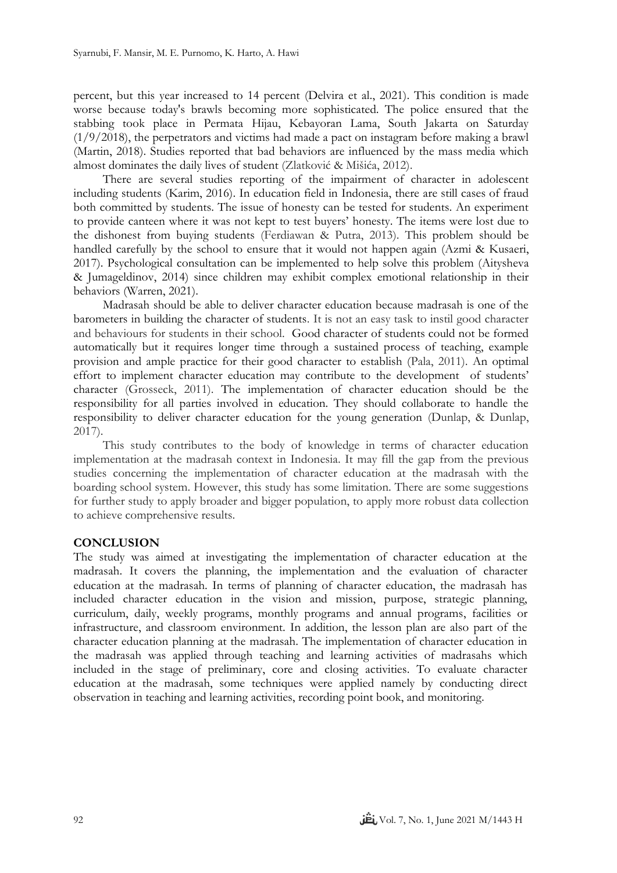percent, but this year increased to 14 percent (Delvira et al., 2021). This condition is made worse because today's brawls becoming more sophisticated. The police ensured that the stabbing took place in Permata Hijau, Kebayoran Lama, South Jakarta on Saturday (1/9/2018), the perpetrators and victims had made a pact on instagram before making a brawl (Martin, 2018). Studies reported that bad behaviors are influenced by the mass media which almost dominates the daily lives of student (Zlatković & Mišića, 2012).

There are several studies reporting of the impairment of character in adolescent including students (Karim, 2016). In education field in Indonesia, there are still cases of fraud both committed by students. The issue of honesty can be tested for students. An experiment to provide canteen where it was not kept to test buyers' honesty. The items were lost due to the dishonest from buying students (Ferdiawan & Putra, 2013). This problem should be handled carefully by the school to ensure that it would not happen again (Azmi & Kusaeri, 2017). Psychological consultation can be implemented to help solve this problem (Aitysheva & Jumageldinov, 2014) since children may exhibit complex emotional relationship in their behaviors (Warren, 2021).

Madrasah should be able to deliver character education because madrasah is one of the barometers in building the character of students. It is not an easy task to instil good character and behaviours for students in their school. Good character of students could not be formed automatically but it requires longer time through a sustained process of teaching, example provision and ample practice for their good character to establish (Pala, 2011). An optimal effort to implement character education may contribute to the development of students' character (Grosseck, 2011). The implementation of character education should be the responsibility for all parties involved in education. They should collaborate to handle the responsibility to deliver character education for the young generation (Dunlap, & Dunlap, 2017).

This study contributes to the body of knowledge in terms of character education implementation at the madrasah context in Indonesia. It may fill the gap from the previous studies concerning the implementation of character education at the madrasah with the boarding school system. However, this study has some limitation. There are some suggestions for further study to apply broader and bigger population, to apply more robust data collection to achieve comprehensive results.

### **CONCLUSION**

The study was aimed at investigating the implementation of character education at the madrasah. It covers the planning, the implementation and the evaluation of character education at the madrasah. In terms of planning of character education, the madrasah has included character education in the vision and mission, purpose, strategic planning, curriculum, daily, weekly programs, monthly programs and annual programs, facilities or infrastructure, and classroom environment. In addition, the lesson plan are also part of the character education planning at the madrasah. The implementation of character education in the madrasah was applied through teaching and learning activities of madrasahs which included in the stage of preliminary, core and closing activities. To evaluate character education at the madrasah, some techniques were applied namely by conducting direct observation in teaching and learning activities, recording point book, and monitoring.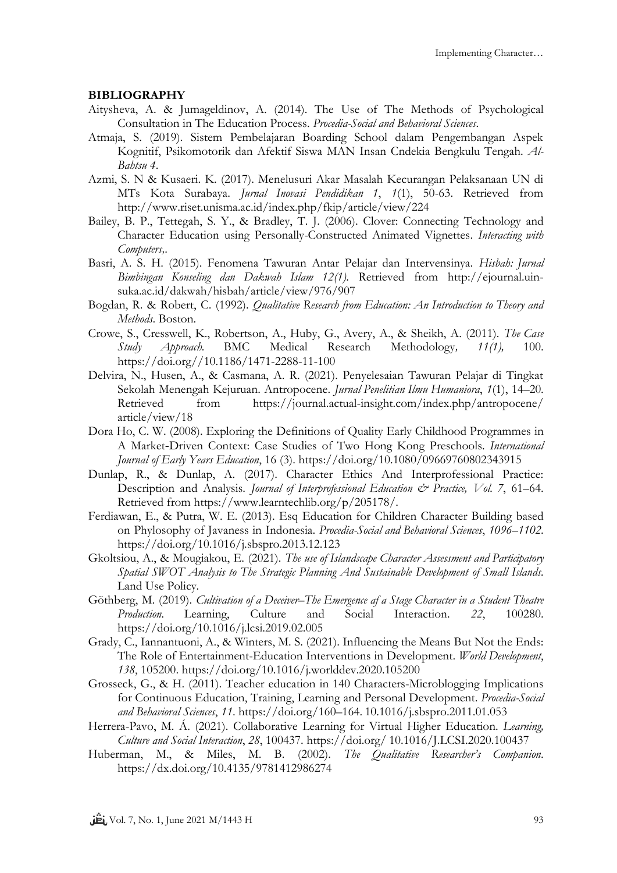### **BIBLIOGRAPHY**

- Aitysheva, A. & Jumageldinov, A. (2014). The Use of The Methods of Psychological Consultation in The Education Process. *Procedia-Social and Behavioral Sciences*.
- Atmaja, S. (2019). Sistem Pembelajaran Boarding School dalam Pengembangan Aspek Kognitif, Psikomotorik dan Afektif Siswa MAN Insan Cndekia Bengkulu Tengah. *Al-Bahtsu 4*.
- Azmi, S. N & Kusaeri. K. (2017). Menelusuri Akar Masalah Kecurangan Pelaksanaan UN di MTs Kota Surabaya. *Jurnal Inovasi Pendidikan 1*, *1*(1), 50-63. Retrieved from http://www.riset.unisma.ac.id/index.php/fkip/article/view/224
- Bailey, B. P., Tettegah, S. Y., & Bradley, T. J. (2006). Clover: Connecting Technology and Character Education using Personally-Constructed Animated Vignettes. *Interacting with Computers,*.
- Basri, A. S. H. (2015). Fenomena Tawuran Antar Pelajar dan Intervensinya. *Hisbah: Jurnal Bimbingan Konseling dan Dakwah Islam 12(1)*. Retrieved from http://ejournal.uinsuka.ac.id/dakwah/hisbah/article/view/976/907
- Bogdan, R. & Robert, C. (1992). *Qualitative Research from Education: An Introduction to Theory and Methods*. Boston.
- Crowe, S., Cresswell, K., Robertson, A., Huby, G., Avery, A., & Sheikh, A. (2011). *The Case Study Approach.* BMC Medical Research Methodology*, 11(1),* 100. https://doi.org//10.1186/1471-2288-11-100
- Delvira, N., Husen, A., & Casmana, A. R. (2021). Penyelesaian Tawuran Pelajar di Tingkat Sekolah Menengah Kejuruan. Antropocene. *Jurnal Penelitian Ilmu Humaniora*, *1*(1), 14–20. Retrieved from https://journal.actual-insight.com/index.php/antropocene/ article/view/18
- Dora Ho, C. W. (2008). Exploring the Definitions of Quality Early Childhood Programmes in A Market‐Driven Context: Case Studies of Two Hong Kong Preschools. *International Journal of Early Years Education*, 16 (3). https://doi.org/10.1080/09669760802343915
- Dunlap, R., & Dunlap, A. (2017). Character Ethics And Interprofessional Practice: Description and Analysis. *Journal of Interprofessional Education & Practice, Vol. 7*, 61–64. Retrieved from https://www.learntechlib.org/p/205178/.
- Ferdiawan, E., & Putra, W. E. (2013). Esq Education for Children Character Building based on Phylosophy of Javaness in Indonesia. *Procedia-Social and Behavioral Sciences*, *1096*–*1102*. https://doi.org/10.1016/j.sbspro.2013.12.123
- Gkoltsiou, A., & Mougiakou, E. (2021). *The use of Islandscape Character Assessment and Participatory Spatial SWOT Analysis to The Strategic Planning And Sustainable Development of Small Islands.* Land Use Policy.
- Göthberg, M. (2019). *Cultivation of a Deceiver–The Emergence af a Stage Character in a Student Theatre Production.* Learning, Culture and Social Interaction. *22*, 100280. https://doi.org/10.1016/j.lcsi.2019.02.005
- Grady, C., Iannantuoni, A., & Winters, M. S. (2021). Influencing the Means But Not the Ends: The Role of Entertainment-Education Interventions in Development. *World Development*, *138*, 105200. https://doi.org/10.1016/j.worlddev.2020.105200
- Grosseck, G., & H. (2011). Teacher education in 140 Characters-Microblogging Implications for Continuous Education, Training, Learning and Personal Development. *Procedia-Social and Behavioral Sciences*, *11*. https://doi.org/160–164. 10.1016/j.sbspro.2011.01.053
- Herrera-Pavo, M. Á. (2021). Collaborative Learning for Virtual Higher Education. *Learning, Culture and Social Interaction*, *28*, 100437. https://doi.org/ 10.1016/J.LCSI.2020.100437
- Huberman, M., & Miles, M. B. (2002). *The Qualitative Researcher's Companion*. https://dx.doi.org/10.4135/9781412986274